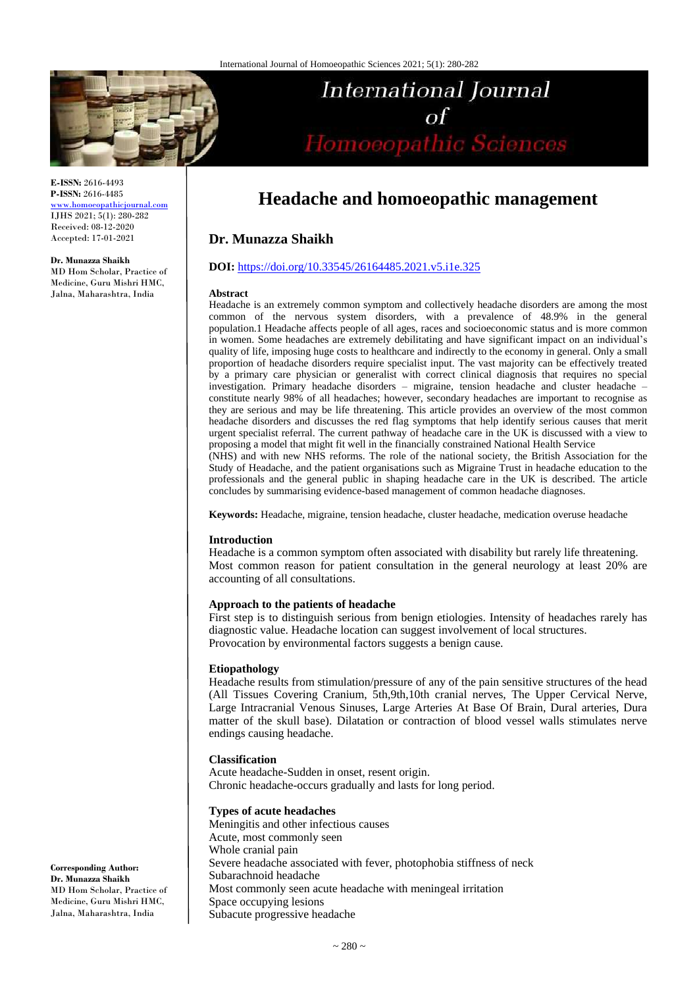

**E-ISSN:** 2616-4493 **P-ISSN:** 2616-4485 [www.homoeopathicjournal.com](file://Server/test/homoeopathicjournal/issue/vol%204/issue%201/www.homoeopathicjournal.com)

IJHS 2021; 5(1): 280-282 Received: 08-12-2020 Accepted: 17-01-2021

#### **Dr. Munazza Shaikh**

MD Hom Scholar, Practice of Medicine, Guru Mishri HMC, Jalna, Maharashtra, India

# International Journal  $\sigma f$ of<br>Homoeopathic Sciences

## **Headache and homoeopathic management**

## **Dr. Munazza Shaikh**

#### **DOI:** <https://doi.org/10.33545/26164485.2021.v5.i1e.325>

#### **Abstract**

Headache is an extremely common symptom and collectively headache disorders are among the most common of the nervous system disorders, with a prevalence of 48.9% in the general population.1 Headache affects people of all ages, races and socioeconomic status and is more common in women. Some headaches are extremely debilitating and have significant impact on an individual's quality of life, imposing huge costs to healthcare and indirectly to the economy in general. Only a small proportion of headache disorders require specialist input. The vast majority can be effectively treated by a primary care physician or generalist with correct clinical diagnosis that requires no special investigation. Primary headache disorders – migraine, tension headache and cluster headache – constitute nearly 98% of all headaches; however, secondary headaches are important to recognise as they are serious and may be life threatening. This article provides an overview of the most common headache disorders and discusses the red flag symptoms that help identify serious causes that merit urgent specialist referral. The current pathway of headache care in the UK is discussed with a view to proposing a model that might fit well in the financially constrained National Health Service (NHS) and with new NHS reforms. The role of the national society, the British Association for the Study of Headache, and the patient organisations such as Migraine Trust in headache education to the professionals and the general public in shaping headache care in the UK is described. The article

**Keywords:** Headache, migraine, tension headache, cluster headache, medication overuse headache

concludes by summarising evidence-based management of common headache diagnoses.

#### **Introduction**

Headache is a common symptom often associated with disability but rarely life threatening. Most common reason for patient consultation in the general neurology at least 20% are accounting of all consultations.

#### **Approach to the patients of headache**

First step is to distinguish serious from benign etiologies. Intensity of headaches rarely has diagnostic value. Headache location can suggest involvement of local structures. Provocation by environmental factors suggests a benign cause.

#### **Etiopathology**

Headache results from stimulation/pressure of any of the pain sensitive structures of the head (All Tissues Covering Cranium, 5th,9th,10th cranial nerves, The Upper Cervical Nerve, Large Intracranial Venous Sinuses, Large Arteries At Base Of Brain, Dural arteries, Dura matter of the skull base). Dilatation or contraction of blood vessel walls stimulates nerve endings causing headache.

#### **Classification**

Acute headache-Sudden in onset, resent origin. Chronic headache-occurs gradually and lasts for long period.

#### **Types of acute headaches**

Meningitis and other infectious causes Acute, most commonly seen Whole cranial pain Severe headache associated with fever, photophobia stiffness of neck Subarachnoid headache Most commonly seen acute headache with meningeal irritation Space occupying lesions Subacute progressive headache

**Corresponding Author: Dr. Munazza Shaikh** MD Hom Scholar, Practice of Medicine, Guru Mishri HMC, Jalna, Maharashtra, India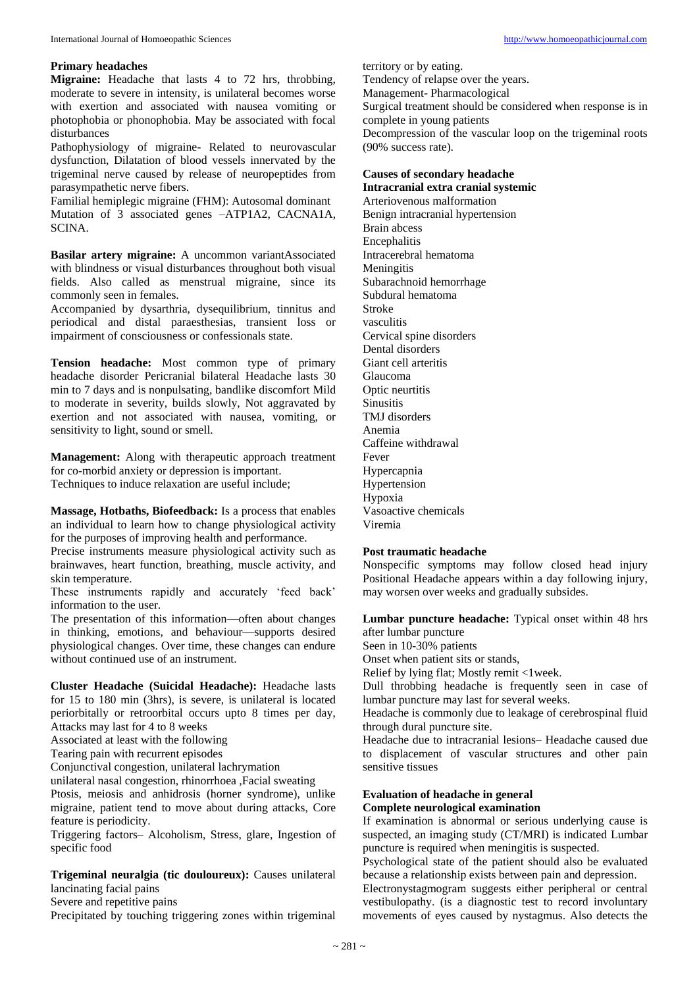#### **Primary headaches**

**Migraine:** Headache that lasts 4 to 72 hrs, throbbing, moderate to severe in intensity, is unilateral becomes worse with exertion and associated with nausea vomiting or photophobia or phonophobia. May be associated with focal disturbances

Pathophysiology of migraine- Related to neurovascular dysfunction, Dilatation of blood vessels innervated by the trigeminal nerve caused by release of neuropeptides from parasympathetic nerve fibers.

Familial hemiplegic migraine (FHM): Autosomal dominant Mutation of 3 associated genes –ATP1A2, CACNA1A, SCINA.

**Basilar artery migraine:** A uncommon variantAssociated with blindness or visual disturbances throughout both visual fields. Also called as menstrual migraine, since its commonly seen in females.

Accompanied by dysarthria, dysequilibrium, tinnitus and periodical and distal paraesthesias, transient loss or impairment of consciousness or confessionals state.

**Tension headache:** Most common type of primary headache disorder Pericranial bilateral Headache lasts 30 min to 7 days and is nonpulsating, bandlike discomfort Mild to moderate in severity, builds slowly, Not aggravated by exertion and not associated with nausea, vomiting, or sensitivity to light, sound or smell.

**Management:** Along with therapeutic approach treatment for co-morbid anxiety or depression is important. Techniques to induce relaxation are useful include;

**Massage, Hotbaths, Biofeedback:** Is a process that enables an individual to learn how to change physiological activity for the purposes of improving health and performance.

Precise instruments measure physiological activity such as brainwaves, heart function, breathing, muscle activity, and skin temperature.

These instruments rapidly and accurately 'feed back' information to the user.

The presentation of this information—often about changes in thinking, emotions, and behaviour—supports desired physiological changes. Over time, these changes can endure without continued use of an instrument.

**Cluster Headache (Suicidal Headache):** Headache lasts for 15 to 180 min (3hrs), is severe, is unilateral is located periorbitally or retroorbital occurs upto 8 times per day, Attacks may last for 4 to 8 weeks

Associated at least with the following

Tearing pain with recurrent episodes

Conjunctival congestion, unilateral lachrymation

unilateral nasal congestion, rhinorrhoea ,Facial sweating

Ptosis, meiosis and anhidrosis (horner syndrome), unlike migraine, patient tend to move about during attacks, Core feature is periodicity.

Triggering factors– Alcoholism, Stress, glare, Ingestion of specific food

**Trigeminal neuralgia (tic douloureux):** Causes unilateral lancinating facial pains

Severe and repetitive pains

Precipitated by touching triggering zones within trigeminal

territory or by eating.

Tendency of relapse over the years.

Management- Pharmacological

Surgical treatment should be considered when response is in complete in young patients

Decompression of the vascular loop on the trigeminal roots (90% success rate).

#### **Causes of secondary headache Intracranial extra cranial systemic**

Arteriovenous malformation Benign intracranial hypertension Brain abcess **Encephalitis** Intracerebral hematoma **Meningitis** Subarachnoid hemorrhage Subdural hematoma Stroke vasculitis Cervical spine disorders Dental disorders Giant cell arteritis Glaucoma Optic neurtitis **Sinusitis** TMJ disorders Anemia Caffeine withdrawal Fever Hypercapnia Hypertension Hypoxia Vasoactive chemicals Viremia

#### **Post traumatic headache**

Nonspecific symptoms may follow closed head injury Positional Headache appears within a day following injury, may worsen over weeks and gradually subsides.

**Lumbar puncture headache:** Typical onset within 48 hrs after lumbar puncture

Seen in 10-30% patients

Onset when patient sits or stands,

Relief by lying flat; Mostly remit <1week.

Dull throbbing headache is frequently seen in case of lumbar puncture may last for several weeks.

Headache is commonly due to leakage of cerebrospinal fluid through dural puncture site.

Headache due to intracranial lesions– Headache caused due to displacement of vascular structures and other pain sensitive tissues

## **Evaluation of headache in general**

## **Complete neurological examination**

If examination is abnormal or serious underlying cause is suspected, an imaging study (CT/MRI) is indicated Lumbar puncture is required when meningitis is suspected.

Psychological state of the patient should also be evaluated because a relationship exists between pain and depression.

Electronystagmogram suggests either peripheral or central vestibulopathy. (is a diagnostic test to record involuntary movements of eyes caused by nystagmus. Also detects the